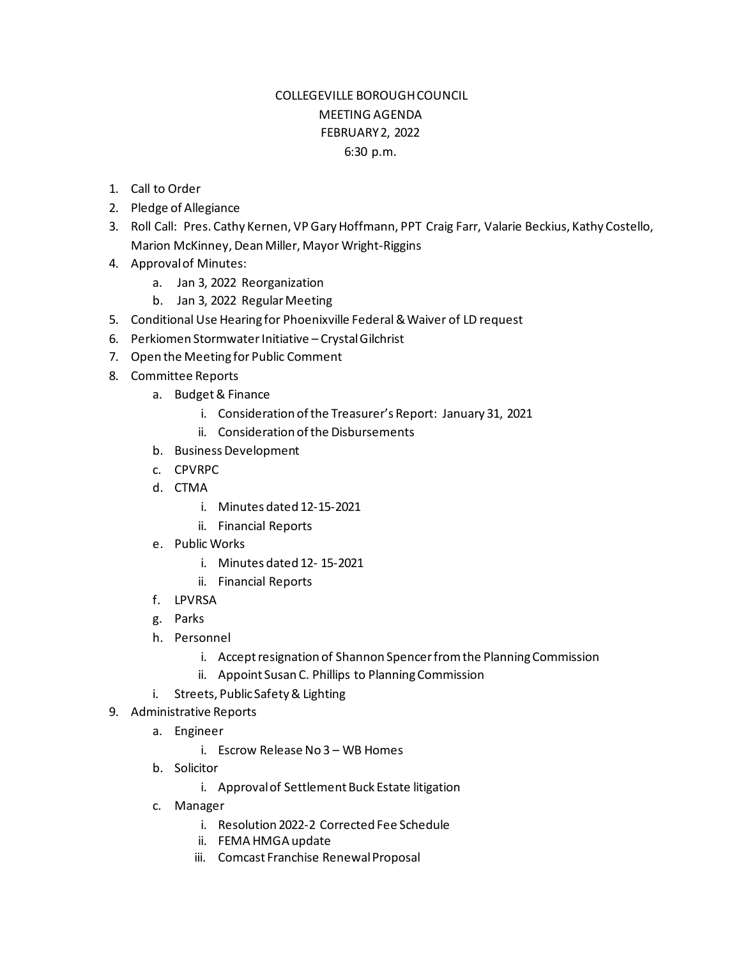## COLLEGEVILLE BOROUGH COUNCIL MEETING AGENDA FEBRUARY 2, 2022 6:30 p.m.

- 1. Call to Order
- 2. Pledge of Allegiance
- 3. Roll Call: Pres. Cathy Kernen, VP Gary Hoffmann, PPT Craig Farr, Valarie Beckius, Kathy Costello, Marion McKinney, Dean Miller, Mayor Wright-Riggins
- 4. Approval of Minutes:
	- a. Jan 3, 2022 Reorganization
	- b. Jan 3, 2022 Regular Meeting
- 5. Conditional Use Hearing for Phoenixville Federal& Waiver of LD request
- 6. Perkiomen Stormwater Initiative Crystal Gilchrist
- 7. Open the Meeting for Public Comment
- 8. Committee Reports
	- a. Budget & Finance
		- i. Consideration of the Treasurer's Report: January 31, 2021
		- ii. Consideration of the Disbursements
	- b. Business Development
	- c. CPVRPC
	- d. CTMA
		- i. Minutes dated 12-15-2021
		- ii. Financial Reports
	- e. Public Works
		- i. Minutes dated 12- 15-2021
		- ii. Financial Reports
	- f. LPVRSA
	- g. Parks
	- h. Personnel
		- i. Accept resignation of Shannon Spencer from the Planning Commission
		- ii. Appoint Susan C. Phillips to Planning Commission
	- i. Streets, Public Safety & Lighting
- 9. Administrative Reports
	- a. Engineer
		- i. Escrow Release No 3 WB Homes
	- b. Solicitor
		- i. Approval of Settlement Buck Estate litigation
	- c. Manager
		- i. Resolution 2022-2 Corrected Fee Schedule
		- ii. FEMA HMGA update
		- iii. Comcast Franchise Renewal Proposal